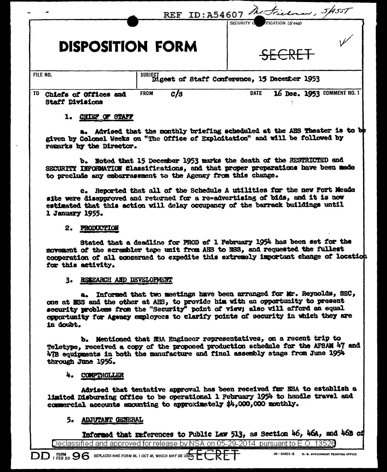|                                                        |                    | REF ID:A54607 Metricinan, 5/9557<br>SECURITY O<br>FICATION (If any)                                                                                          |
|--------------------------------------------------------|--------------------|--------------------------------------------------------------------------------------------------------------------------------------------------------------|
| <b>DISPOSITION FORM</b>                                |                    |                                                                                                                                                              |
| FILE NO.                                               |                    | SUBJECT Digest of Staff Conference, 15 December 1953                                                                                                         |
| TO.<br>Chiefs of Offices and<br><b>Staff Divisions</b> | <b>FROM</b><br>c/s | 16 Dec. 1953 COMMENT NO. 1<br><b>DATE</b>                                                                                                                    |
| CHIEF OF STAFF                                         |                    |                                                                                                                                                              |
|                                                        |                    | a. Advised that the monthly briefing scheduled at the AHS Theater is to be<br>given by Colonel Weeks on "The Office of Exploitation" and will be followed by |

b. Noted that 15 December 1953 marks the death of the RESTRICTED and SECURITY INFORMATION Classifications, and that proper preparations have been made to preclude any embarrassment to the Agency from this change.

c. Reported that all of the Schedule A utilities for the new Fort Meade site were disapproved and returned for a re-advertising of bids. and it is now estimated that this action will delay occupancy of the barrack buildings until 1 January 1955.

## 2. PRODUCTION

remarks by the Director.

Stated that a deadline for PROD of 1 February 1954 has been set for the movement of the scrembler tape unit from AHS to NSS, and requested the fullest cooperation of all concerned to expedite this extremely important change of location for this activity.

# 3. RESEARCH AND DEVELOPMENT

a. Informed that two meetings have been arranged for Mr. Reynolds, SEC, one at ESS and the other at AHS, to provide him with an opportunity to present security problems from the "Security" point of view; also will afford an equal opportunity for Agency employees to clarify points of security in which they are in doubt.

b. Mentioned that MSA Engineer representatives, on a recent trip to Teletype, received a copy of the proposed production schedule for the AFSAM 47 and 47B equipments in both the manufacture and final assembly stage from June 1954 through June 1956.

# 4. COMPTROLLER

Advised that tentative approval has been received for NSA to establish a limited Disbursing Office to be operational 1 February 1954 to handle travel and commercial accounts amounting to approximately \$4,000,000 monthly.

# 5. ADJUTANT GENERAL

Informed that references to Public Law 513, as Section 46, 46A, and 46B of

Declassified and approved for release by NSA on 05-29-2014 pursuant to E.O. 13526

16-54801-3 U.S. GOVERNMENT PRINTING OFFICE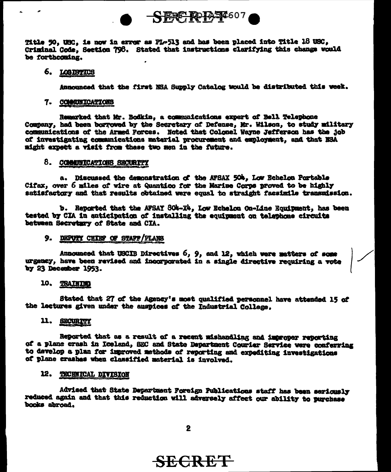

Title 50, USC, is now in error as PL-513 and has been placed into Title 18 USC. Criminal Code, Section 798. Stated that instructions clarifying this change would be forthcoming.

#### 6. LOQ ISTICS

Announced that the first NSA Supply Catalog would be distributed this week.

#### 7. COMMUNICATIONS

Remarked that Mr. Bodkin, a communications expert of Bell Telephone Company, had been borrowed by the Secretary of Defense, Mr. Wilson, to study military communications of the Armed Forces. Noted that Colonel Wayne Jefferson has the job of investigating communications material procurement and employment, and that NSA might expect a visit from these two men in the future.

#### 8. COMMITICATIONS SECURITY

a. Discussed the demonstration of the AFSAX 504. Low Echelon Portable Cifax, over 6 miles of wire at Quantico for the Marine Corps proved to be highly satisfactory and that results obtained were equal to straight facsimile transmission.

b. Reported that the AFSAY 804-X4. Low Echelon On-Line Equipment, has been tested by CIA in anticipation of installing the equipment on telephone circuits between Secretary of State and CIA.

## 9. DEPUTY CHIEF OF STAFF/PLANS

Announced that USCIB Directives 6, 9, and 12, which were matters of some urgency, have been revised and incorporated in a single directive requiring a vote by 23 December 1953.

#### 10. TRAINING

Stated that 27 of the Agency's most qualified personnel have attended 15 of the lectures given under the auspices of the Industrial College.

# 11. SECURITY

Reported that as a result of a recent mishandling and improper reporting of a plane crash in Iceland, SEC and State Department Courier Service were conferring to develop a plan for improved methods of reporting and expediting investigations of plane crashes when classified material is involved.

# 12. TECHNICAL DIVISION

Advised that State Department Foreign Publications staff has been seriously reduced again and that this reduction will adversely affect our ability to purchase books abroad.

 $\mathbf{2}$ 

# **SECRET**